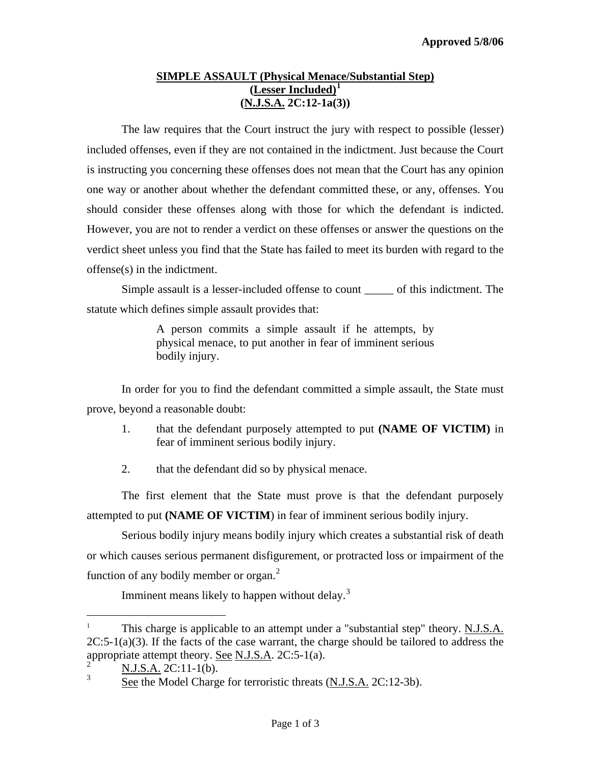## **SIMPLE ASSAULT (Physical Menace/Substantial Step) (Lesser Included)[1](#page-0-0) (N.J.S.A. 2C:12-1a(3))**

 The law requires that the Court instruct the jury with respect to possible (lesser) included offenses, even if they are not contained in the indictment. Just because the Court is instructing you concerning these offenses does not mean that the Court has any opinion one way or another about whether the defendant committed these, or any, offenses. You should consider these offenses along with those for which the defendant is indicted. However, you are not to render a verdict on these offenses or answer the questions on the verdict sheet unless you find that the State has failed to meet its burden with regard to the offense(s) in the indictment.

Simple assault is a lesser-included offense to count \_\_\_\_\_ of this indictment. The statute which defines simple assault provides that:

> A person commits a simple assault if he attempts, by physical menace, to put another in fear of imminent serious bodily injury.

In order for you to find the defendant committed a simple assault, the State must prove, beyond a reasonable doubt:

- 1. that the defendant purposely attempted to put **(NAME OF VICTIM)** in fear of imminent serious bodily injury.
- 2. that the defendant did so by physical menace.

 The first element that the State must prove is that the defendant purposely attempted to put **(NAME OF VICTIM**) in fear of imminent serious bodily injury.

 Serious bodily injury means bodily injury which creates a substantial risk of death or which causes serious permanent disfigurement, or protracted loss or impairment of the function of any bodily member or organ. $<sup>2</sup>$  $<sup>2</sup>$  $<sup>2</sup>$ </sup>

Imminent means likely to happen without delay.<sup>[3](#page-0-2)</sup>

 $\overline{\phantom{0}}$ 

<span id="page-0-3"></span><span id="page-0-0"></span>This charge is applicable to an attempt under a "substantial step" theory. N.J.S.A.  $2C:5-1(a)(3)$ . If the facts of the case warrant, the charge should be tailored to address the appropriate attempt theory. See N.J.S.A.  $2C:5-1(a)$ .

<span id="page-0-2"></span><span id="page-0-1"></span> $\frac{2}{3}$  N.J.S.A. 2C:11-1(b).

See the Model Charge for terroristic threats (N.J.S.A. 2C:12-3b).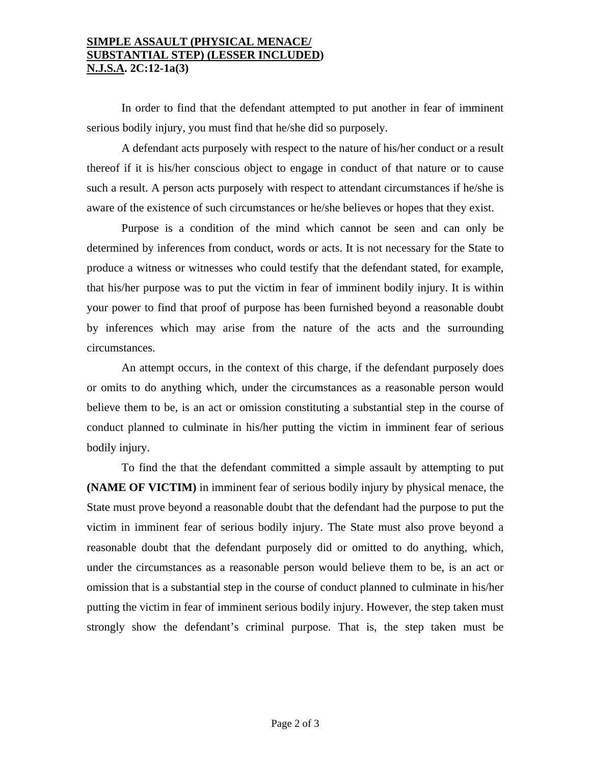## **SIMPLE ASSAULT (PHYSICAL MENACE/ SUBSTANTIAL STEP) (LESSER INCLUDED) N.J.S.A. 2C:12-1a(3)**

 In order to find that the defendant attempted to put another in fear of imminent serious bodily injury, you must find that he/she did so purposely.

 A defendant acts purposely with respect to the nature of his/her conduct or a result thereof if it is his/her conscious object to engage in conduct of that nature or to cause such a result. A person acts purposely with respect to attendant circumstances if he/she is aware of the existence of such circumstances or he/she believes or hopes that they exist.

Purpose is a condition of the mind which cannot be seen and can only be determined by inferences from conduct, words or acts. It is not necessary for the State to produce a witness or witnesses who could testify that the defendant stated, for example, that his/her purpose was to put the victim in fear of imminent bodily injury. It is within your power to find that proof of purpose has been furnished beyond a reasonable doubt by inferences which may arise from the nature of the acts and the surrounding circumstances.

 An attempt occurs, in the context of this charge, if the defendant purposely does or omits to do anything which, under the circumstances as a reasonable person would believe them to be, is an act or omission constituting a substantial step in the course of conduct planned to culminate in his/her putting the victim in imminent fear of serious bodily injury.

To find the that the defendant committed a simple assault by attempting to put **(NAME OF VICTIM)** in imminent fear of serious bodily injury by physical menace, the State must prove beyond a reasonable doubt that the defendant had the purpose to put the victim in imminent fear of serious bodily injury. The State must also prove beyond a reasonable doubt that the defendant purposely did or omitted to do anything, which, under the circumstances as a reasonable person would believe them to be, is an act or omission that is a substantial step in the course of conduct planned to culminate in his/her putting the victim in fear of imminent serious bodily injury. However, the step taken must strongly show the defendant's criminal purpose. That is, the step taken must be